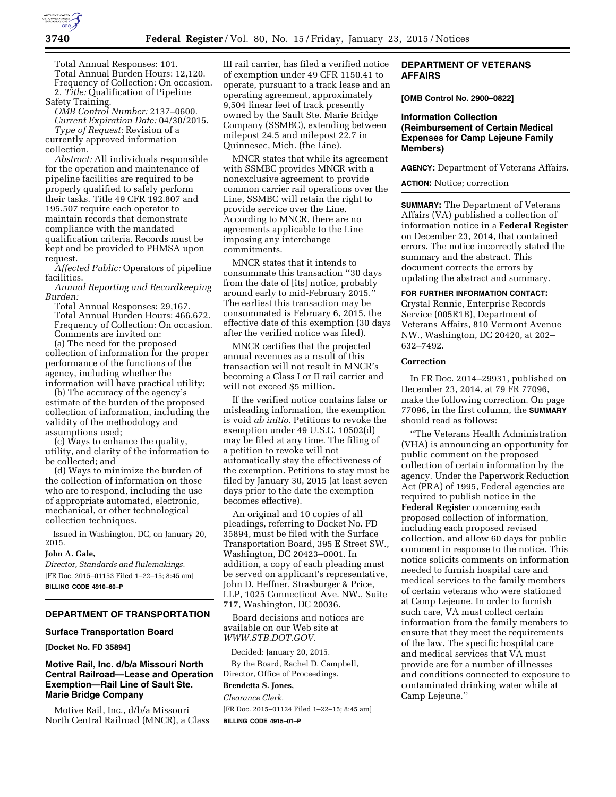

Total Annual Responses: 101. Total Annual Burden Hours: 12,120. Frequency of Collection: On occasion. 2. *Title:* Qualification of Pipeline

Safety Training. *OMB Control Number:* 2137–0600. *Current Expiration Date:* 04/30/2015. *Type of Request:* Revision of a currently approved information collection.

*Abstract:* All individuals responsible for the operation and maintenance of pipeline facilities are required to be properly qualified to safely perform their tasks. Title 49 CFR 192.807 and 195.507 require each operator to maintain records that demonstrate compliance with the mandated qualification criteria. Records must be kept and be provided to PHMSA upon request.

*Affected Public:* Operators of pipeline facilities.

*Annual Reporting and Recordkeeping Burden:* 

Total Annual Responses: 29,167. Total Annual Burden Hours: 466,672. Frequency of Collection: On occasion. Comments are invited on:

(a) The need for the proposed collection of information for the proper performance of the functions of the agency, including whether the information will have practical utility;

(b) The accuracy of the agency's estimate of the burden of the proposed collection of information, including the validity of the methodology and assumptions used;

(c) Ways to enhance the quality, utility, and clarity of the information to be collected; and

(d) Ways to minimize the burden of the collection of information on those who are to respond, including the use of appropriate automated, electronic, mechanical, or other technological collection techniques.

Issued in Washington, DC, on January 20, 2015.

### **John A. Gale,**

*Director, Standards and Rulemakings.*  [FR Doc. 2015–01153 Filed 1–22–15; 8:45 am] **BILLING CODE 4910–60–P** 

## **DEPARTMENT OF TRANSPORTATION**

#### **Surface Transportation Board**

**[Docket No. FD 35894]** 

# **Motive Rail, Inc. d/b/a Missouri North Central Railroad—Lease and Operation Exemption—Rail Line of Sault Ste. Marie Bridge Company**

Motive Rail, Inc., d/b/a Missouri North Central Railroad (MNCR), a Class

III rail carrier, has filed a verified notice of exemption under 49 CFR 1150.41 to operate, pursuant to a track lease and an operating agreement, approximately 9,504 linear feet of track presently owned by the Sault Ste. Marie Bridge Company (SSMBC), extending between milepost 24.5 and milepost 22.7 in Quinnesec, Mich. (the Line).

MNCR states that while its agreement with SSMBC provides MNCR with a nonexclusive agreement to provide common carrier rail operations over the Line, SSMBC will retain the right to provide service over the Line. According to MNCR, there are no agreements applicable to the Line imposing any interchange commitments.

MNCR states that it intends to consummate this transaction ''30 days from the date of [its] notice, probably around early to mid-February 2015.'' The earliest this transaction may be consummated is February 6, 2015, the effective date of this exemption (30 days after the verified notice was filed).

MNCR certifies that the projected annual revenues as a result of this transaction will not result in MNCR's becoming a Class I or II rail carrier and will not exceed \$5 million.

If the verified notice contains false or misleading information, the exemption is void *ab initio.* Petitions to revoke the exemption under 49 U.S.C. 10502(d) may be filed at any time. The filing of a petition to revoke will not automatically stay the effectiveness of the exemption. Petitions to stay must be filed by January 30, 2015 (at least seven days prior to the date the exemption becomes effective).

An original and 10 copies of all pleadings, referring to Docket No. FD 35894, must be filed with the Surface Transportation Board, 395 E Street SW., Washington, DC 20423–0001. In addition, a copy of each pleading must be served on applicant's representative, John D. Heffner, Strasburger & Price, LLP, 1025 Connecticut Ave. NW., Suite 717, Washington, DC 20036.

Board decisions and notices are available on our Web site at *[WWW.STB.DOT.GOV.](http://WWW.STB.DOT.GOV)* 

Decided: January 20, 2015. By the Board, Rachel D. Campbell, Director, Office of Proceedings. **Brendetta S. Jones,**  *Clearance Clerk.* 

[FR Doc. 2015–01124 Filed 1–22–15; 8:45 am] **BILLING CODE 4915–01–P** 

# **DEPARTMENT OF VETERANS AFFAIRS**

**[OMB Control No. 2900–0822]** 

## **Information Collection (Reimbursement of Certain Medical Expenses for Camp Lejeune Family Members)**

**AGENCY:** Department of Veterans Affairs.

**ACTION:** Notice; correction

**SUMMARY:** The Department of Veterans Affairs (VA) published a collection of information notice in a **Federal Register**  on December 23, 2014, that contained errors. The notice incorrectly stated the summary and the abstract. This document corrects the errors by updating the abstract and summary.

### **FOR FURTHER INFORMATION CONTACT:**

Crystal Rennie, Enterprise Records Service (005R1B), Department of Veterans Affairs, 810 Vermont Avenue NW., Washington, DC 20420, at 202– 632–7492.

### **Correction**

In FR Doc. 2014–29931, published on December 23, 2014, at 79 FR 77096, make the following correction. On page 77096, in the first column, the **SUMMARY** should read as follows:

The Veterans Health Administration (VHA) is announcing an opportunity for public comment on the proposed collection of certain information by the agency. Under the Paperwork Reduction Act (PRA) of 1995, Federal agencies are required to publish notice in the **Federal Register** concerning each proposed collection of information, including each proposed revised collection, and allow 60 days for public comment in response to the notice. This notice solicits comments on information needed to furnish hospital care and medical services to the family members of certain veterans who were stationed at Camp Lejeune. In order to furnish such care, VA must collect certain information from the family members to ensure that they meet the requirements of the law. The specific hospital care and medical services that VA must provide are for a number of illnesses and conditions connected to exposure to contaminated drinking water while at Camp Lejeune.''